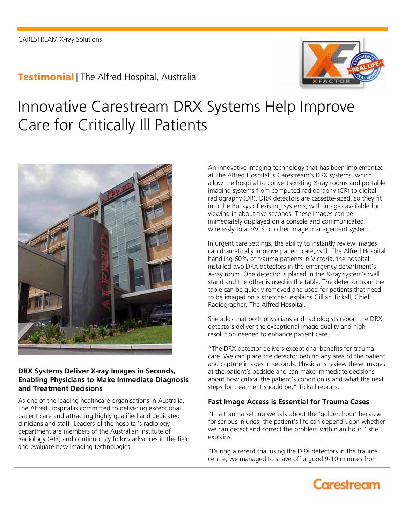### **Testimonial** | The Alfred Hospital, Australia



# Innovative Carestream DRX Systems Help Improve Care for Critically Ill Patients



### **DRX Systems Deliver X-ray Images in Seconds, Enabling Physicians to Make Immediate Diagnosis and Treatment Decisions**

As one of the leading healthcare organisations in Australia, The Alfred Hospital is committed to delivering exceptional patient care and attracting highly qualified and dedicated clinicians and staff. Leaders of the hospital's radiology department are members of the Australian Institute of Radiology (AIR) and continuously follow advances in the field and evaluate new imaging technologies.

An innovative imaging technology that has been implemented at The Alfred Hospital is Carestream's DRX systems, which allow the hospital to convert existing X-ray rooms and portable imaging systems from computed radiography (CR) to digital radiography (DR). DRX detectors are cassette-sized, so they fit into the Buckys of existing systems, with images available for viewing in about five seconds. These images can be immediately displayed on a console and communicated wirelessly to a PACS or other image management system.

In urgent care settings, the ability to instantly review images can dramatically improve patient care; with The Alfred Hospital handling 60% of trauma patients in Victoria, the hospital installed two DRX detectors in the emergency department's X-ray room. One detector is placed in the X-ray system's wall stand and the other is used in the table. The detector from the table can be quickly removed and used for patients that need to be imaged on a stretcher, explains Gillian Tickall, Chief Radiographer, The Alfred Hospital.

She adds that both physicians and radiologists report the DRX detectors deliver the exceptional image quality and high resolution needed to enhance patient care.

"The DRX detector delivers exceptional benefits for trauma care. We can place the detector behind any area of the patient and capture images in seconds. Physicians review these images at the patient's bedside and can make immediate decisions about how critical the patient's condition is and what the next steps for treatment should be," Tickall reports.

### **Fast Image Access is Essential for Trauma Cases**

"In a trauma setting we talk about the 'golden hour' because for serious injuries, the patient's life can depend upon whether we can detect and correct the problem within an hour," she explains.

"During a recent trial using the DRX detectors in the trauma centre, we managed to shave off a good 9-10 minutes from